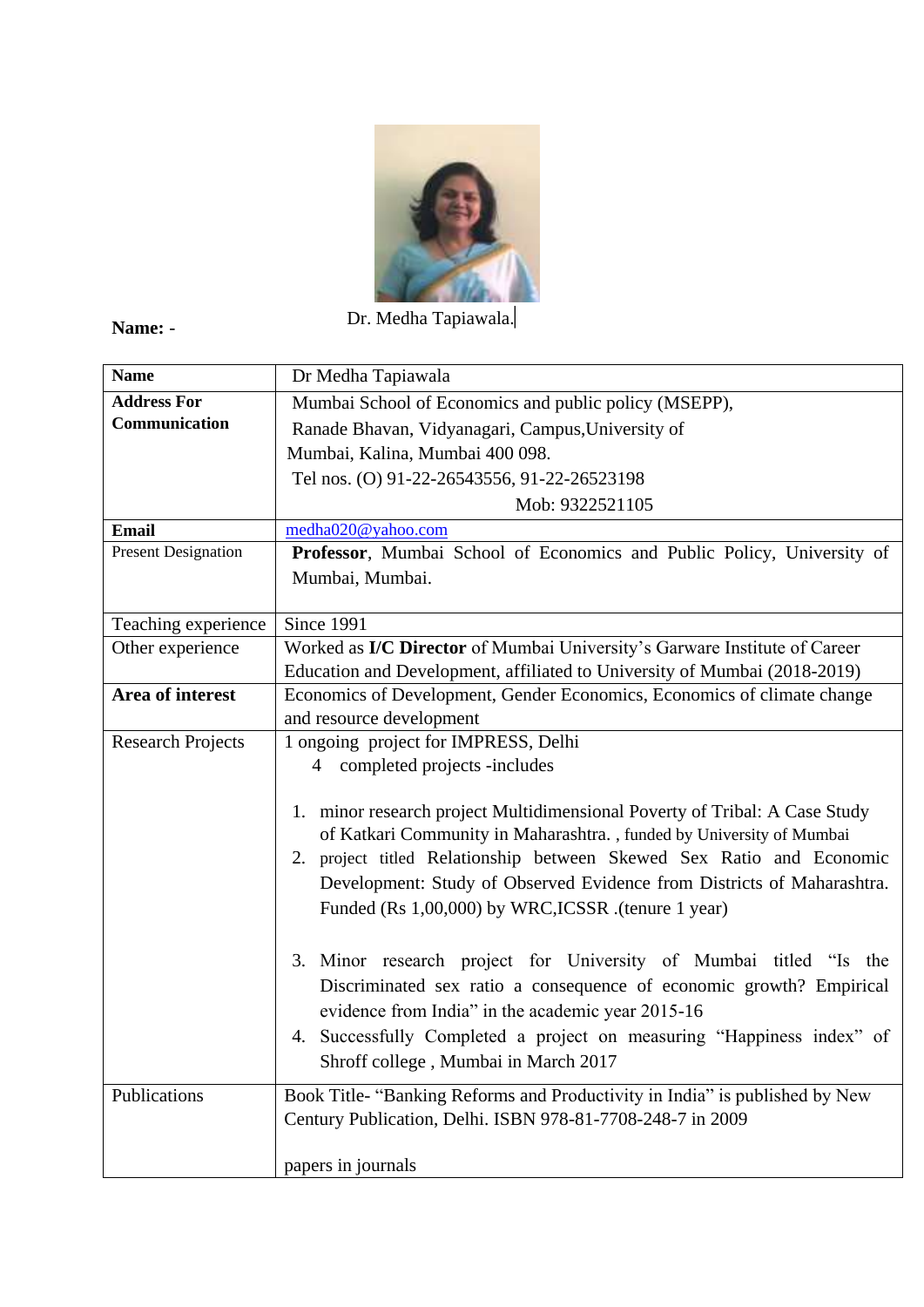

**Name:** -

Dr. Medha Tapiawala.

| <b>Name</b>                | Dr Medha Tapiawala                                                          |
|----------------------------|-----------------------------------------------------------------------------|
| <b>Address For</b>         | Mumbai School of Economics and public policy (MSEPP),                       |
| Communication              | Ranade Bhavan, Vidyanagari, Campus, University of                           |
|                            | Mumbai, Kalina, Mumbai 400 098.                                             |
|                            | Tel nos. (O) 91-22-26543556, 91-22-26523198                                 |
|                            | Mob: 9322521105                                                             |
| <b>Email</b>               | medha020@yahoo.com                                                          |
| <b>Present Designation</b> | Professor, Mumbai School of Economics and Public Policy, University of      |
|                            | Mumbai, Mumbai.                                                             |
| Teaching experience        | Since 1991                                                                  |
| Other experience           | Worked as I/C Director of Mumbai University's Garware Institute of Career   |
|                            | Education and Development, affiliated to University of Mumbai (2018-2019)   |
| Area of interest           | Economics of Development, Gender Economics, Economics of climate change     |
|                            | and resource development                                                    |
| <b>Research Projects</b>   | 1 ongoing project for IMPRESS, Delhi                                        |
|                            | 4 completed projects -includes                                              |
|                            | 1. minor research project Multidimensional Poverty of Tribal: A Case Study  |
|                            | of Katkari Community in Maharashtra., funded by University of Mumbai        |
|                            | 2. project titled Relationship between Skewed Sex Ratio and Economic        |
|                            | Development: Study of Observed Evidence from Districts of Maharashtra.      |
|                            | Funded (Rs 1,00,000) by WRC, ICSSR .(tenure 1 year)                         |
|                            |                                                                             |
|                            | 3. Minor research project for University of Mumbai titled "Is the           |
|                            | Discriminated sex ratio a consequence of economic growth? Empirical         |
|                            | evidence from India" in the academic year 2015-16                           |
|                            | 4. Successfully Completed a project on measuring "Happiness index" of       |
|                            | Shroff college, Mumbai in March 2017                                        |
|                            |                                                                             |
| Publications               | Book Title- "Banking Reforms and Productivity in India" is published by New |
|                            | Century Publication, Delhi. ISBN 978-81-7708-248-7 in 2009                  |
|                            | papers in journals                                                          |
|                            |                                                                             |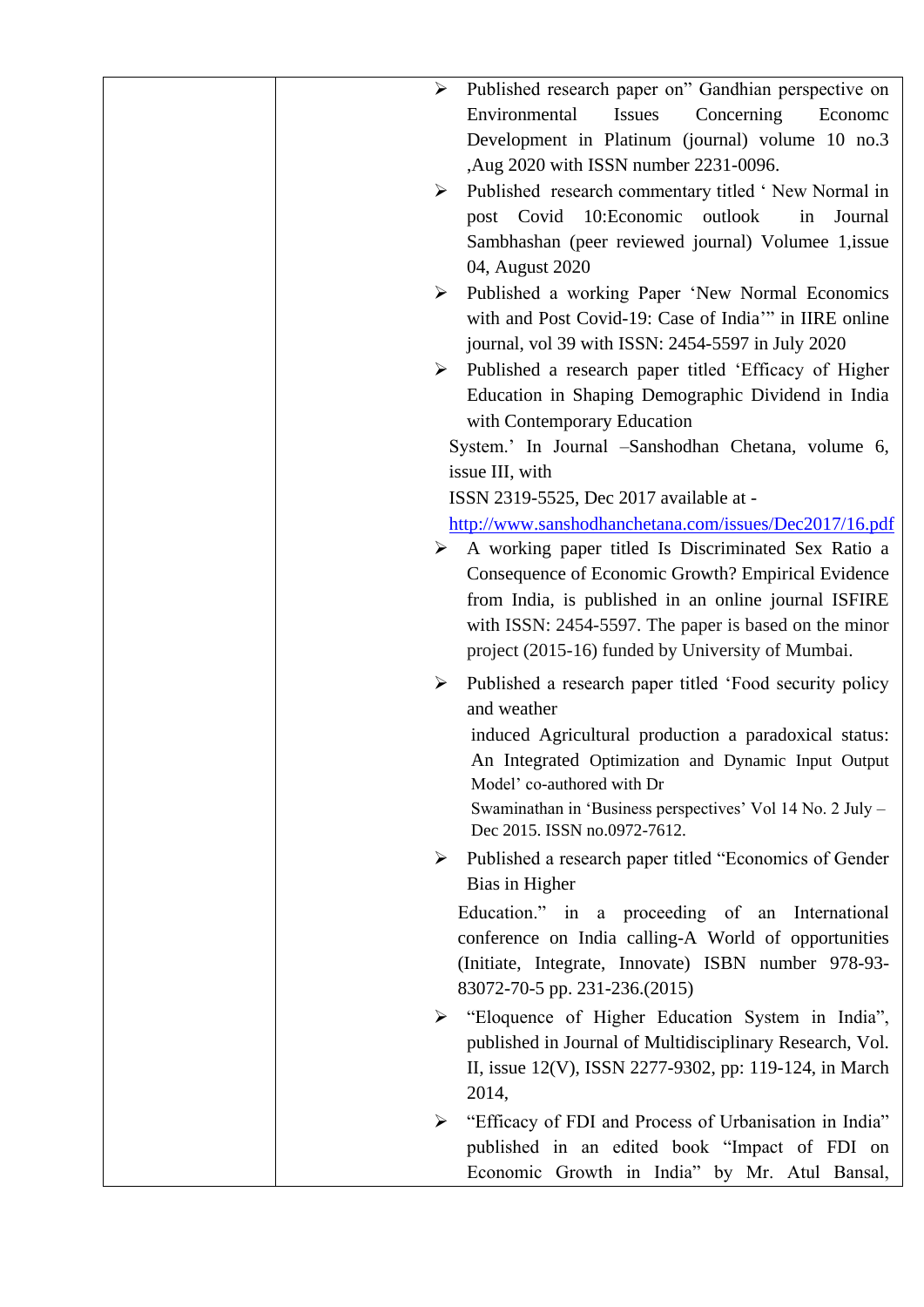| Published research paper on" Gandhian perspective on<br>➤<br>Environmental<br>Concerning<br><b>Issues</b><br>Econome<br>Development in Platinum (journal) volume 10 no.3<br>,Aug 2020 with ISSN number 2231-0096.<br>Published research commentary titled 'New Normal in<br>➤<br>10:Economic<br>post Covid<br>outlook<br>in<br>Journal<br>Sambhashan (peer reviewed journal) Volumee 1, issue<br>04, August 2020<br>Published a working Paper 'New Normal Economics<br>≻ |
|--------------------------------------------------------------------------------------------------------------------------------------------------------------------------------------------------------------------------------------------------------------------------------------------------------------------------------------------------------------------------------------------------------------------------------------------------------------------------|
| with and Post Covid-19: Case of India" in IIRE online<br>journal, vol 39 with ISSN: 2454-5597 in July 2020                                                                                                                                                                                                                                                                                                                                                               |
| Published a research paper titled 'Efficacy of Higher<br>≻<br>Education in Shaping Demographic Dividend in India<br>with Contemporary Education<br>System.' In Journal -Sanshodhan Chetana, volume 6,                                                                                                                                                                                                                                                                    |
| issue III, with<br>ISSN 2319-5525, Dec 2017 available at -<br>http://www.sanshodhanchetana.com/issues/Dec2017/16.pdf                                                                                                                                                                                                                                                                                                                                                     |
| $\triangleright$ A working paper titled Is Discriminated Sex Ratio a<br>Consequence of Economic Growth? Empirical Evidence<br>from India, is published in an online journal ISFIRE<br>with ISSN: 2454-5597. The paper is based on the minor<br>project (2015-16) funded by University of Mumbai.                                                                                                                                                                         |
| Published a research paper titled 'Food security policy<br>➤<br>and weather<br>induced Agricultural production a paradoxical status:<br>An Integrated Optimization and Dynamic Input Output<br>Model' co-authored with Dr<br>Swaminathan in 'Business perspectives' Vol 14 No. 2 July -<br>Dec 2015. ISSN no.0972-7612.                                                                                                                                                  |
| Published a research paper titled "Economics of Gender<br>➤                                                                                                                                                                                                                                                                                                                                                                                                              |
| Bias in Higher<br>Education." in a proceeding of an International<br>conference on India calling-A World of opportunities<br>(Initiate, Integrate, Innovate) ISBN number 978-93-<br>83072-70-5 pp. 231-236.(2015)                                                                                                                                                                                                                                                        |
| "Eloquence of Higher Education System in India",<br>published in Journal of Multidisciplinary Research, Vol.<br>II, issue 12(V), ISSN 2277-9302, pp: 119-124, in March<br>2014,                                                                                                                                                                                                                                                                                          |
| "Efficacy of FDI and Process of Urbanisation in India"<br>➤<br>published in an edited book "Impact of FDI on<br>Economic Growth in India" by Mr. Atul Bansal,                                                                                                                                                                                                                                                                                                            |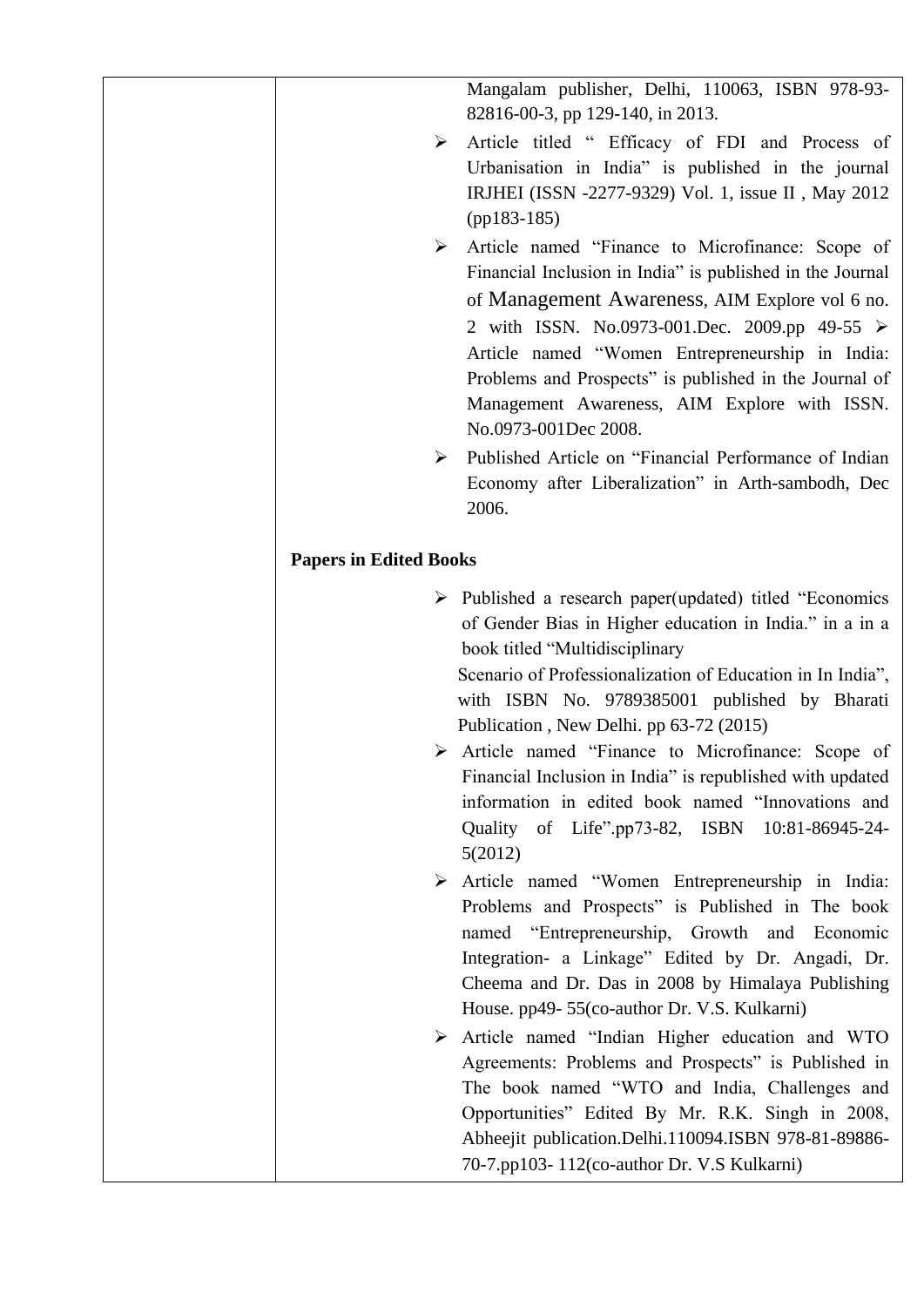Mangalam publisher, Delhi, 110063, ISBN 978-93- 82816-00-3, pp 129-140, in 2013.

- Article titled " Efficacy of FDI and Process of Urbanisation in India" is published in the journal IRJHEI (ISSN -2277-9329) Vol. 1, issue II , May 2012 (pp183-185)
- Article named "Finance to Microfinance: Scope of Financial Inclusion in India" is published in the Journal of Management Awareness, AIM Explore vol 6 no. 2 with ISSN. No.0973-001.Dec. 2009.pp 49-55  $\triangleright$ Article named "Women Entrepreneurship in India: Problems and Prospects" is published in the Journal of Management Awareness, AIM Explore with ISSN. No.0973-001Dec 2008.
- Published Article on "Financial Performance of Indian Economy after Liberalization" in Arth-sambodh, Dec 2006.

## **Papers in Edited Books**

 $\triangleright$  Published a research paper(updated) titled "Economics of Gender Bias in Higher education in India." in a in a book titled "Multidisciplinary

Scenario of Professionalization of Education in In India", with ISBN No. 9789385001 published by Bharati Publication , New Delhi. pp 63-72 (2015)

- Article named "Finance to Microfinance: Scope of Financial Inclusion in India" is republished with updated information in edited book named "Innovations and Quality of Life".pp73-82, ISBN 10:81-86945-24- 5(2012)
- Article named "Women Entrepreneurship in India: Problems and Prospects" is Published in The book named "Entrepreneurship, Growth and Economic Integration- a Linkage" Edited by Dr. Angadi, Dr. Cheema and Dr. Das in 2008 by Himalaya Publishing House. pp49- 55(co-author Dr. V.S. Kulkarni)
- Article named "Indian Higher education and WTO Agreements: Problems and Prospects" is Published in The book named "WTO and India, Challenges and Opportunities" Edited By Mr. R.K. Singh in 2008, Abheejit publication.Delhi.110094.ISBN 978-81-89886- 70-7.pp103- 112(co-author Dr. V.S Kulkarni)